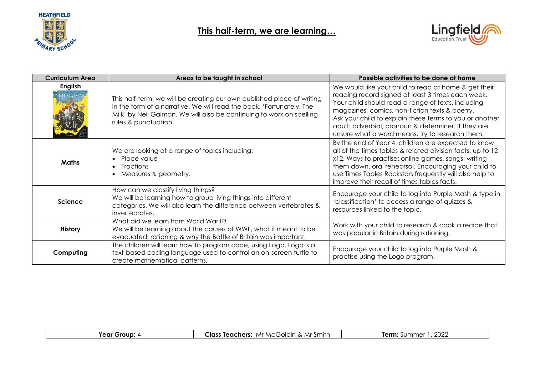

## **This half-term, we are learning…**



| <b>Curriculum Area</b> | Areas to be taught in school                                                                                                                                                                                                                   | Possible activities to be done at home                                                                                                                                                                                                                                                                                                                                                 |
|------------------------|------------------------------------------------------------------------------------------------------------------------------------------------------------------------------------------------------------------------------------------------|----------------------------------------------------------------------------------------------------------------------------------------------------------------------------------------------------------------------------------------------------------------------------------------------------------------------------------------------------------------------------------------|
| <b>English</b>         | This half-term, we will be creating our own published piece of writing<br>in the form of a narrative. We will read the book, 'Fortunately, The<br>Milk' by Neil Gaiman. We will also be continuing to work on spelling<br>rules & punctuation. | We would like your child to read at home & get their<br>reading record signed at least 3 times each week.<br>Your child should read a range of texts, including<br>magazines, comics, non-fiction texts & poetry.<br>Ask your child to explain these terms to you or another<br>adult: adverbial, pronoun & determiner. If they are<br>unsure what a word means, try to research them. |
| <b>Maths</b>           | We are looking at a range of topics including:<br>Place value<br>Fractions<br>$\bullet$<br>Measures & geometry.                                                                                                                                | By the end of Year 4, children are expected to know<br>all of the times tables & related division facts, up to 12<br>x12. Ways to practise: online games, songs, writing<br>them down, oral rehearsal. Encouraging your child to<br>use Times Tables Rockstars frequently will also help to<br>improve their recall of times tables facts.                                             |
| <b>Science</b>         | How can we classify living things?<br>We will be learning how to group living things into different<br>categories. We will also learn the difference between vertebrates &<br>invertebrates.                                                   | Encourage your child to log into Purple Mash & type in<br>'classification' to access a range of quizzes &<br>resources linked to the topic.                                                                                                                                                                                                                                            |
| <b>History</b>         | What did we learn from World War II?<br>We will be learning about the causes of WWII, what it meant to be<br>evacuated, rationing & why the Battle of Britain was important.                                                                   | Work with your child to research & cook a recipe that<br>was popular in Britain during rationing.                                                                                                                                                                                                                                                                                      |
| Computing              | The children will learn how to program code, using Logo. Logo is a<br>text-based coding language used to control an on-screen turtle to<br>create mathematical patterns.                                                                       | Encourage your child to log into Purple Mash &<br>practise using the Logo program.                                                                                                                                                                                                                                                                                                     |

| 1 Smitr<br>∩lnın<br>$M \cap C$<br>Mr<br>⊥las′<br><b>NAI</b><br>ners<br>теас<br>. <i>.</i> . | nnnr<br>∠∪∠<br>E<br>.<br>$\cdot$ |
|---------------------------------------------------------------------------------------------|----------------------------------|